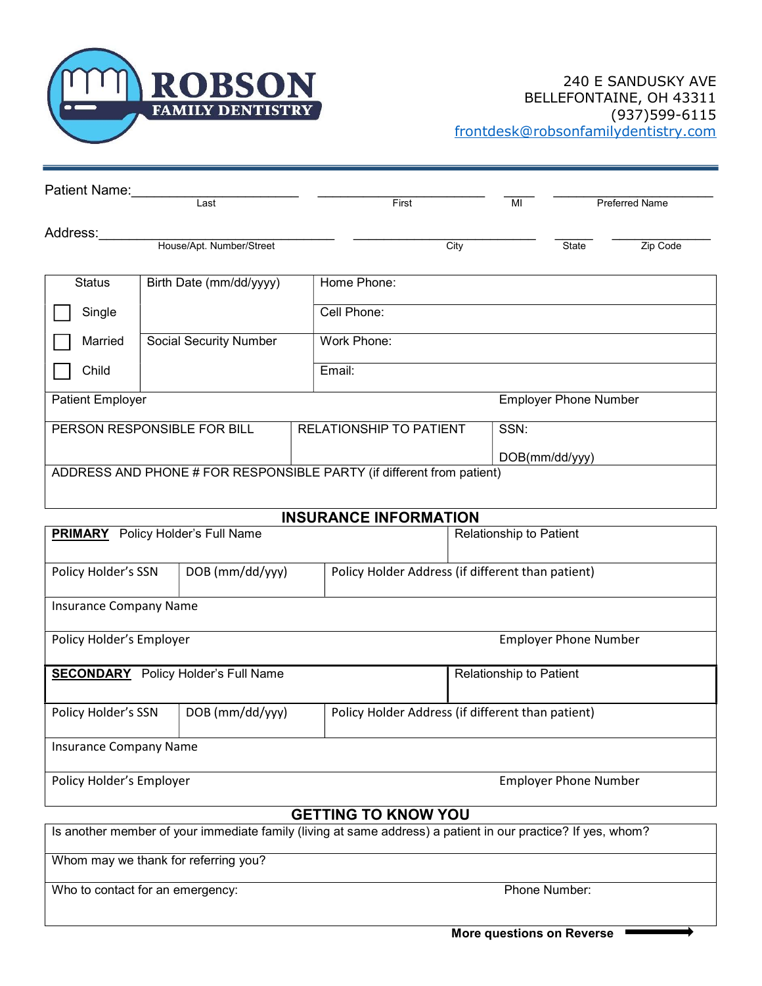

| Patient Name:               |                               |                                                                       |               |                              |                       |
|-----------------------------|-------------------------------|-----------------------------------------------------------------------|---------------|------------------------------|-----------------------|
|                             | Last                          | First                                                                 | MI            |                              | <b>Preferred Name</b> |
| Address:                    |                               |                                                                       |               |                              |                       |
|                             | House/Apt. Number/Street      | City                                                                  |               | State                        | Zip Code              |
| <b>Status</b>               | Birth Date (mm/dd/yyyy)       | Home Phone:                                                           |               |                              |                       |
| Single                      |                               | Cell Phone:                                                           |               |                              |                       |
| Married                     | <b>Social Security Number</b> | Work Phone:                                                           |               |                              |                       |
| Child                       |                               | Email:                                                                |               |                              |                       |
| <b>Patient Employer</b>     |                               |                                                                       |               | <b>Employer Phone Number</b> |                       |
| PERSON RESPONSIBLE FOR BILL |                               | <b>RELATIONSHIP TO PATIENT</b>                                        | SSN:          |                              |                       |
|                             |                               |                                                                       | DOB(mm/dd/yy) |                              |                       |
|                             |                               | ADDRESS AND PHONE # FOR RESPONSIBLE PARTY (if different from patient) |               |                              |                       |
|                             |                               |                                                                       |               |                              |                       |

### INSURANCE INFORMATION

| <b>PRIMARY</b> Policy Holder's Full Name |                           |                                                   | <b>Relationship to Patient</b> |  |  |  |  |  |
|------------------------------------------|---------------------------|---------------------------------------------------|--------------------------------|--|--|--|--|--|
| Policy Holder's SSN                      | DOB (mm/dd/yyy)           | Policy Holder Address (if different than patient) |                                |  |  |  |  |  |
| <b>Insurance Company Name</b>            |                           |                                                   |                                |  |  |  |  |  |
| Policy Holder's Employer                 |                           |                                                   | <b>Employer Phone Number</b>   |  |  |  |  |  |
| <b>SECONDARY</b>                         | Policy Holder's Full Name |                                                   | <b>Relationship to Patient</b> |  |  |  |  |  |
| Policy Holder's SSN                      | DOB (mm/dd/yyy)           | Policy Holder Address (if different than patient) |                                |  |  |  |  |  |
| <b>Insurance Company Name</b>            |                           |                                                   |                                |  |  |  |  |  |
| Policy Holder's Employer                 |                           |                                                   | <b>Employer Phone Number</b>   |  |  |  |  |  |

### GETTING TO KNOW YOU

Is another member of your immediate family (living at same address) a patient in our practice? If yes, whom?

Whom may we thank for referring you?

Who to contact for an emergency: Phone Number: